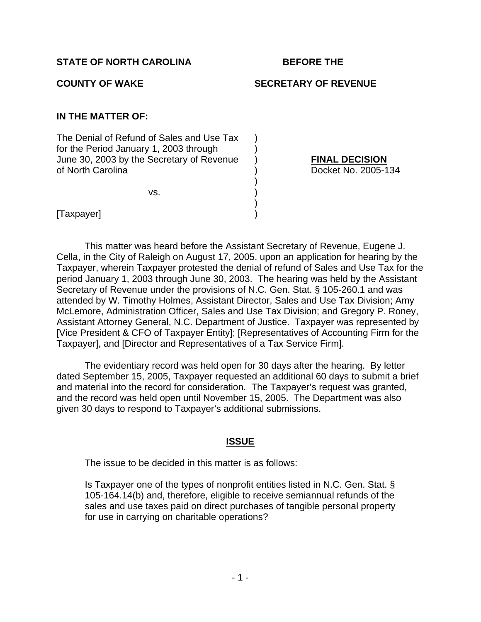## **COUNTY OF WAKE SECRETARY OF REVENUE**

## **IN THE MATTER OF:**

The Denial of Refund of Sales and Use Tax ) for the Period January 1, 2003 through June 30, 2003 by the Secretary of Revenue ) **FINAL DECISION** of North Carolina ) Docket No. 2005-134

 $\mathsf{vs.} \qquad \qquad \mathsf{)}$ 

 $)$ 

 $)$ 

[Taxpayer]

 This matter was heard before the Assistant Secretary of Revenue, Eugene J. Cella, in the City of Raleigh on August 17, 2005, upon an application for hearing by the Taxpayer, wherein Taxpayer protested the denial of refund of Sales and Use Tax for the period January 1, 2003 through June 30, 2003. The hearing was held by the Assistant Secretary of Revenue under the provisions of N.C. Gen. Stat. § 105-260.1 and was attended by W. Timothy Holmes, Assistant Director, Sales and Use Tax Division; Amy McLemore, Administration Officer, Sales and Use Tax Division; and Gregory P. Roney, Assistant Attorney General, N.C. Department of Justice. Taxpayer was represented by [Vice President & CFO of Taxpayer Entity]; [Representatives of Accounting Firm for the Taxpayer], and [Director and Representatives of a Tax Service Firm].

 The evidentiary record was held open for 30 days after the hearing. By letter dated September 15, 2005, Taxpayer requested an additional 60 days to submit a brief and material into the record for consideration. The Taxpayer's request was granted, and the record was held open until November 15, 2005. The Department was also given 30 days to respond to Taxpayer's additional submissions.

## **ISSUE**

The issue to be decided in this matter is as follows:

Is Taxpayer one of the types of nonprofit entities listed in N.C. Gen. Stat. § 105-164.14(b) and, therefore, eligible to receive semiannual refunds of the sales and use taxes paid on direct purchases of tangible personal property for use in carrying on charitable operations?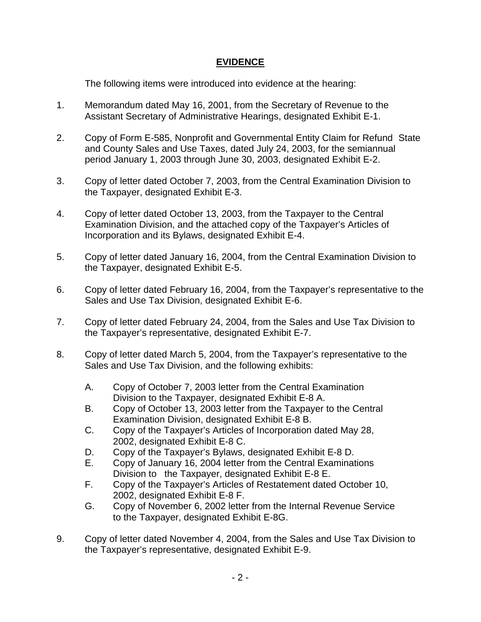## **EVIDENCE**

The following items were introduced into evidence at the hearing:

- 1. Memorandum dated May 16, 2001, from the Secretary of Revenue to the Assistant Secretary of Administrative Hearings, designated Exhibit E-1.
- 2. Copy of Form E-585, Nonprofit and Governmental Entity Claim for Refund State and County Sales and Use Taxes, dated July 24, 2003, for the semiannual period January 1, 2003 through June 30, 2003, designated Exhibit E-2.
- 3. Copy of letter dated October 7, 2003, from the Central Examination Division to the Taxpayer, designated Exhibit E-3.
- 4. Copy of letter dated October 13, 2003, from the Taxpayer to the Central Examination Division, and the attached copy of the Taxpayer's Articles of Incorporation and its Bylaws, designated Exhibit E-4.
- 5. Copy of letter dated January 16, 2004, from the Central Examination Division to the Taxpayer, designated Exhibit E-5.
- 6. Copy of letter dated February 16, 2004, from the Taxpayer's representative to the Sales and Use Tax Division, designated Exhibit E-6.
- 7. Copy of letter dated February 24, 2004, from the Sales and Use Tax Division to the Taxpayer's representative, designated Exhibit E-7.
- 8. Copy of letter dated March 5, 2004, from the Taxpayer's representative to the Sales and Use Tax Division, and the following exhibits:
	- A. Copy of October 7, 2003 letter from the Central Examination Division to the Taxpayer, designated Exhibit E-8 A.
	- B. Copy of October 13, 2003 letter from the Taxpayer to the Central Examination Division, designated Exhibit E-8 B.
	- C. Copy of the Taxpayer's Articles of Incorporation dated May 28, 2002, designated Exhibit E-8 C.
	- D. Copy of the Taxpayer's Bylaws, designated Exhibit E-8 D.
	- E. Copy of January 16, 2004 letter from the Central Examinations Division to the Taxpayer, designated Exhibit E-8 E.
	- F. Copy of the Taxpayer's Articles of Restatement dated October 10, 2002, designated Exhibit E-8 F.
	- G. Copy of November 6, 2002 letter from the Internal Revenue Service to the Taxpayer, designated Exhibit E-8G.
- 9. Copy of letter dated November 4, 2004, from the Sales and Use Tax Division to the Taxpayer's representative, designated Exhibit E-9.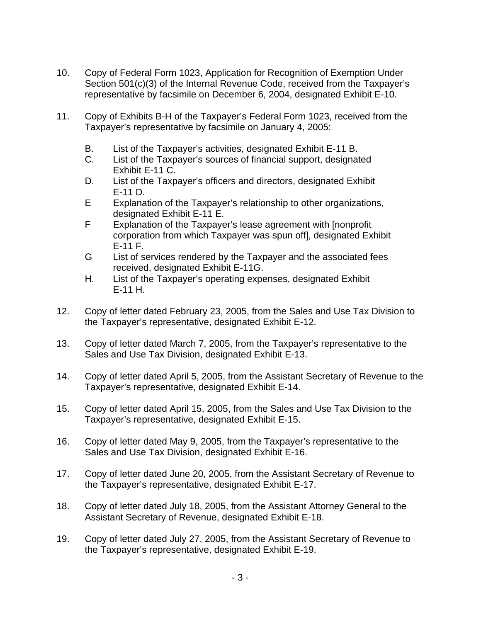- 10. Copy of Federal Form 1023, Application for Recognition of Exemption Under Section 501(c)(3) of the Internal Revenue Code, received from the Taxpayer's representative by facsimile on December 6, 2004, designated Exhibit E-10.
- 11. Copy of Exhibits B-H of the Taxpayer's Federal Form 1023, received from the Taxpayer's representative by facsimile on January 4, 2005:
	- B. List of the Taxpayer's activities, designated Exhibit E-11 B.
	- C. List of the Taxpayer's sources of financial support, designated Exhibit E-11 C.
	- D. List of the Taxpayer's officers and directors, designated Exhibit E-11 D.
	- E Explanation of the Taxpayer's relationship to other organizations, designated Exhibit E-11 E.
	- F Explanation of the Taxpayer's lease agreement with [nonprofit corporation from which Taxpayer was spun off], designated Exhibit E-11 F.
	- G List of services rendered by the Taxpayer and the associated fees received, designated Exhibit E-11G.
	- H. List of the Taxpayer's operating expenses, designated Exhibit E-11 H.
- 12. Copy of letter dated February 23, 2005, from the Sales and Use Tax Division to the Taxpayer's representative, designated Exhibit E-12.
- 13. Copy of letter dated March 7, 2005, from the Taxpayer's representative to the Sales and Use Tax Division, designated Exhibit E-13.
- 14. Copy of letter dated April 5, 2005, from the Assistant Secretary of Revenue to the Taxpayer's representative, designated Exhibit E-14.
- 15. Copy of letter dated April 15, 2005, from the Sales and Use Tax Division to the Taxpayer's representative, designated Exhibit E-15.
- 16. Copy of letter dated May 9, 2005, from the Taxpayer's representative to the Sales and Use Tax Division, designated Exhibit E-16.
- 17. Copy of letter dated June 20, 2005, from the Assistant Secretary of Revenue to the Taxpayer's representative, designated Exhibit E-17.
- 18. Copy of letter dated July 18, 2005, from the Assistant Attorney General to the Assistant Secretary of Revenue, designated Exhibit E-18.
- 19. Copy of letter dated July 27, 2005, from the Assistant Secretary of Revenue to the Taxpayer's representative, designated Exhibit E-19.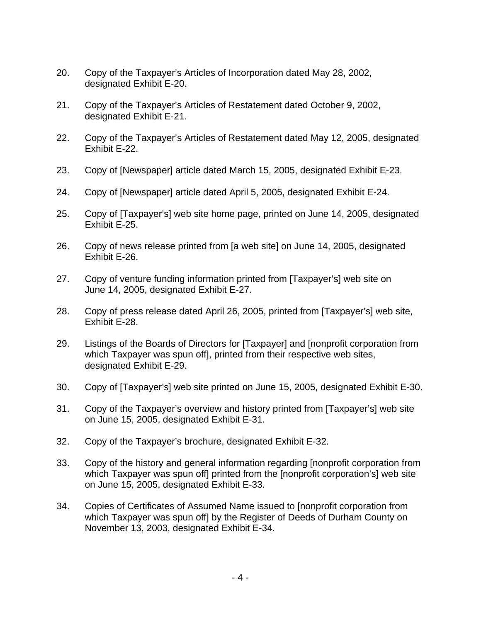- 20. Copy of the Taxpayer's Articles of Incorporation dated May 28, 2002, designated Exhibit E-20.
- 21. Copy of the Taxpayer's Articles of Restatement dated October 9, 2002, designated Exhibit E-21.
- 22. Copy of the Taxpayer's Articles of Restatement dated May 12, 2005, designated Exhibit E-22.
- 23. Copy of [Newspaper] article dated March 15, 2005, designated Exhibit E-23.
- 24. Copy of [Newspaper] article dated April 5, 2005, designated Exhibit E-24.
- 25. Copy of [Taxpayer's] web site home page, printed on June 14, 2005, designated Exhibit E-25.
- 26. Copy of news release printed from [a web site] on June 14, 2005, designated Exhibit E-26.
- 27. Copy of venture funding information printed from [Taxpayer's] web site on June 14, 2005, designated Exhibit E-27.
- 28. Copy of press release dated April 26, 2005, printed from [Taxpayer's] web site, Exhibit E-28.
- 29. Listings of the Boards of Directors for [Taxpayer] and [nonprofit corporation from which Taxpayer was spun off], printed from their respective web sites, designated Exhibit E-29.
- 30. Copy of [Taxpayer's] web site printed on June 15, 2005, designated Exhibit E-30.
- 31. Copy of the Taxpayer's overview and history printed from [Taxpayer's] web site on June 15, 2005, designated Exhibit E-31.
- 32. Copy of the Taxpayer's brochure, designated Exhibit E-32.
- 33. Copy of the history and general information regarding [nonprofit corporation from which Taxpayer was spun off] printed from the [nonprofit corporation's] web site on June 15, 2005, designated Exhibit E-33.
- 34. Copies of Certificates of Assumed Name issued to [nonprofit corporation from which Taxpayer was spun off] by the Register of Deeds of Durham County on November 13, 2003, designated Exhibit E-34.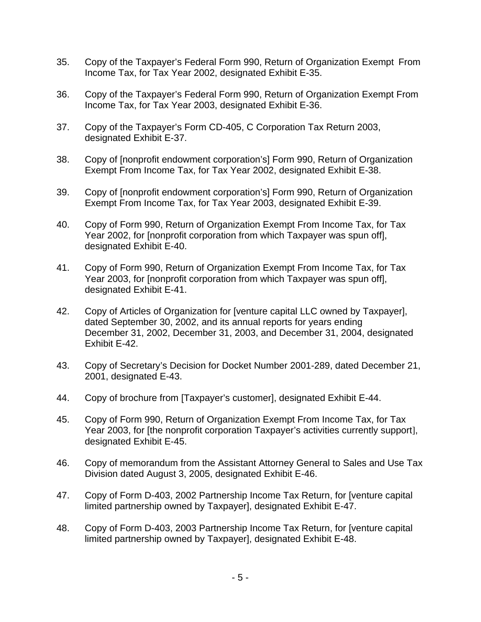- 35. Copy of the Taxpayer's Federal Form 990, Return of Organization Exempt From Income Tax, for Tax Year 2002, designated Exhibit E-35.
- 36. Copy of the Taxpayer's Federal Form 990, Return of Organization Exempt From Income Tax, for Tax Year 2003, designated Exhibit E-36.
- 37. Copy of the Taxpayer's Form CD-405, C Corporation Tax Return 2003, designated Exhibit E-37.
- 38. Copy of [nonprofit endowment corporation's] Form 990, Return of Organization Exempt From Income Tax, for Tax Year 2002, designated Exhibit E-38.
- 39. Copy of [nonprofit endowment corporation's] Form 990, Return of Organization Exempt From Income Tax, for Tax Year 2003, designated Exhibit E-39.
- 40. Copy of Form 990, Return of Organization Exempt From Income Tax, for Tax Year 2002, for [nonprofit corporation from which Taxpayer was spun off], designated Exhibit E-40.
- 41. Copy of Form 990, Return of Organization Exempt From Income Tax, for Tax Year 2003, for [nonprofit corporation from which Taxpayer was spun off], designated Exhibit E-41.
- 42. Copy of Articles of Organization for [venture capital LLC owned by Taxpayer], dated September 30, 2002, and its annual reports for years ending December 31, 2002, December 31, 2003, and December 31, 2004, designated Exhibit E-42.
- 43. Copy of Secretary's Decision for Docket Number 2001-289, dated December 21, 2001, designated E-43.
- 44. Copy of brochure from [Taxpayer's customer], designated Exhibit E-44.
- 45. Copy of Form 990, Return of Organization Exempt From Income Tax, for Tax Year 2003, for [the nonprofit corporation Taxpayer's activities currently support], designated Exhibit E-45.
- 46. Copy of memorandum from the Assistant Attorney General to Sales and Use Tax Division dated August 3, 2005, designated Exhibit E-46.
- 47. Copy of Form D-403, 2002 Partnership Income Tax Return, for [venture capital limited partnership owned by Taxpayer], designated Exhibit E-47.
- 48. Copy of Form D-403, 2003 Partnership Income Tax Return, for [venture capital limited partnership owned by Taxpayer], designated Exhibit E-48.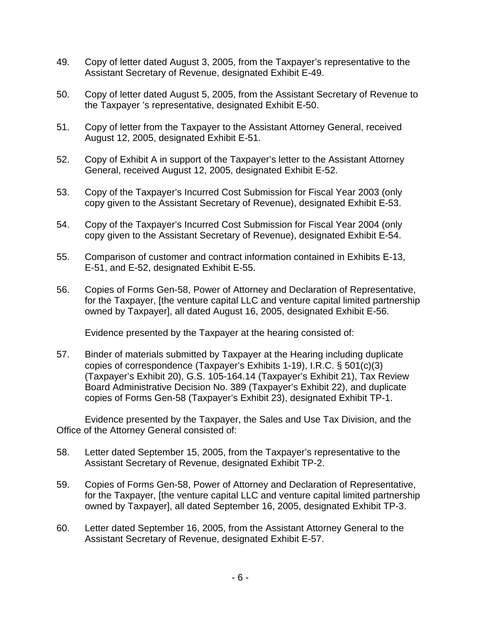- 49. Copy of letter dated August 3, 2005, from the Taxpayer's representative to the Assistant Secretary of Revenue, designated Exhibit E-49.
- 50. Copy of letter dated August 5, 2005, from the Assistant Secretary of Revenue to the Taxpayer 's representative, designated Exhibit E-50.
- 51. Copy of letter from the Taxpayer to the Assistant Attorney General, received August 12, 2005, designated Exhibit E-51.
- 52. Copy of Exhibit A in support of the Taxpayer's letter to the Assistant Attorney General, received August 12, 2005, designated Exhibit E-52.
- 53. Copy of the Taxpayer's Incurred Cost Submission for Fiscal Year 2003 (only copy given to the Assistant Secretary of Revenue), designated Exhibit E-53.
- 54. Copy of the Taxpayer's Incurred Cost Submission for Fiscal Year 2004 (only copy given to the Assistant Secretary of Revenue), designated Exhibit E-54.
- 55. Comparison of customer and contract information contained in Exhibits E-13, E-51, and E-52, designated Exhibit E-55.
- 56. Copies of Forms Gen-58, Power of Attorney and Declaration of Representative, for the Taxpayer, [the venture capital LLC and venture capital limited partnership owned by Taxpayer], all dated August 16, 2005, designated Exhibit E-56.

Evidence presented by the Taxpayer at the hearing consisted of:

57. Binder of materials submitted by Taxpayer at the Hearing including duplicate copies of correspondence (Taxpayer's Exhibits 1-19), I.R.C. § 501(c)(3) (Taxpayer's Exhibit 20), G.S. 105-164.14 (Taxpayer's Exhibit 21), Tax Review Board Administrative Decision No. 389 (Taxpayer's Exhibit 22), and duplicate copies of Forms Gen-58 (Taxpayer's Exhibit 23), designated Exhibit TP-1.

Evidence presented by the Taxpayer, the Sales and Use Tax Division, and the Office of the Attorney General consisted of:

- 58. Letter dated September 15, 2005, from the Taxpayer's representative to the Assistant Secretary of Revenue, designated Exhibit TP-2.
- 59. Copies of Forms Gen-58, Power of Attorney and Declaration of Representative, for the Taxpayer, [the venture capital LLC and venture capital limited partnership owned by Taxpayer], all dated September 16, 2005, designated Exhibit TP-3.
- 60. Letter dated September 16, 2005, from the Assistant Attorney General to the Assistant Secretary of Revenue, designated Exhibit E-57.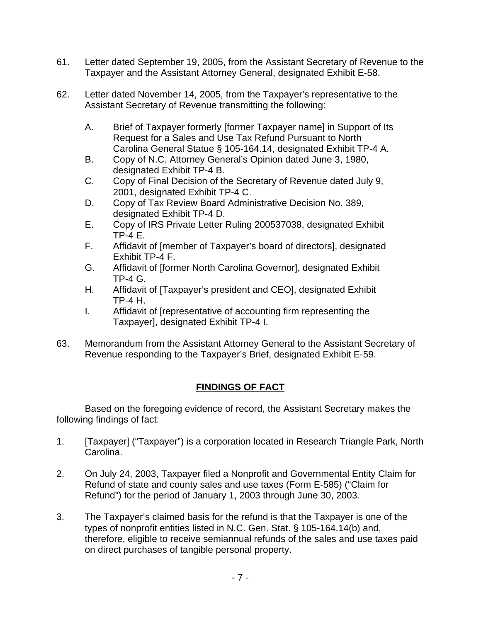- 61. Letter dated September 19, 2005, from the Assistant Secretary of Revenue to the Taxpayer and the Assistant Attorney General, designated Exhibit E-58.
- 62. Letter dated November 14, 2005, from the Taxpayer's representative to the Assistant Secretary of Revenue transmitting the following:
	- A. Brief of Taxpayer formerly [former Taxpayer name] in Support of Its Request for a Sales and Use Tax Refund Pursuant to North Carolina General Statue § 105-164.14, designated Exhibit TP-4 A.
	- B. Copy of N.C. Attorney General's Opinion dated June 3, 1980, designated Exhibit TP-4 B.
	- C. Copy of Final Decision of the Secretary of Revenue dated July 9, 2001, designated Exhibit TP-4 C.
	- D. Copy of Tax Review Board Administrative Decision No. 389, designated Exhibit TP-4 D.
	- E. Copy of IRS Private Letter Ruling 200537038, designated Exhibit TP-4 E.
	- F. Affidavit of [member of Taxpayer's board of directors], designated Exhibit TP-4 F.
	- G. Affidavit of [former North Carolina Governor], designated Exhibit TP-4 G.
	- H. Affidavit of [Taxpayer's president and CEO], designated Exhibit TP-4 H.
	- I. Affidavit of [representative of accounting firm representing the Taxpayer], designated Exhibit TP-4 I.
- 63. Memorandum from the Assistant Attorney General to the Assistant Secretary of Revenue responding to the Taxpayer's Brief, designated Exhibit E-59.

# **FINDINGS OF FACT**

Based on the foregoing evidence of record, the Assistant Secretary makes the following findings of fact:

- 1. [Taxpayer] ("Taxpayer") is a corporation located in Research Triangle Park, North Carolina.
- 2. On July 24, 2003, Taxpayer filed a Nonprofit and Governmental Entity Claim for Refund of state and county sales and use taxes (Form E-585) ("Claim for Refund") for the period of January 1, 2003 through June 30, 2003.
- 3. The Taxpayer's claimed basis for the refund is that the Taxpayer is one of the types of nonprofit entities listed in N.C. Gen. Stat. § 105-164.14(b) and, therefore, eligible to receive semiannual refunds of the sales and use taxes paid on direct purchases of tangible personal property.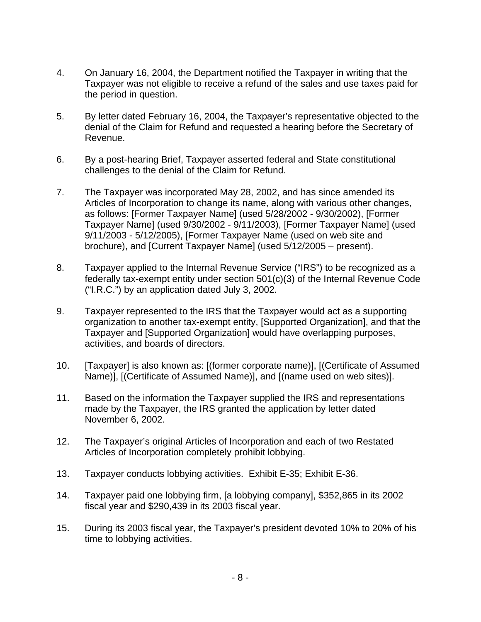- 4. On January 16, 2004, the Department notified the Taxpayer in writing that the Taxpayer was not eligible to receive a refund of the sales and use taxes paid for the period in question.
- 5. By letter dated February 16, 2004, the Taxpayer's representative objected to the denial of the Claim for Refund and requested a hearing before the Secretary of Revenue.
- 6. By a post-hearing Brief, Taxpayer asserted federal and State constitutional challenges to the denial of the Claim for Refund.
- 7. The Taxpayer was incorporated May 28, 2002, and has since amended its Articles of Incorporation to change its name, along with various other changes, as follows: [Former Taxpayer Name] (used 5/28/2002 - 9/30/2002), [Former Taxpayer Name] (used 9/30/2002 - 9/11/2003), [Former Taxpayer Name] (used 9/11/2003 - 5/12/2005), [Former Taxpayer Name (used on web site and brochure), and [Current Taxpayer Name] (used 5/12/2005 – present).
- 8. Taxpayer applied to the Internal Revenue Service ("IRS") to be recognized as a federally tax-exempt entity under section 501(c)(3) of the Internal Revenue Code ("I.R.C.") by an application dated July 3, 2002.
- 9. Taxpayer represented to the IRS that the Taxpayer would act as a supporting organization to another tax-exempt entity, [Supported Organization], and that the Taxpayer and [Supported Organization] would have overlapping purposes, activities, and boards of directors.
- 10. [Taxpayer] is also known as: [(former corporate name)], [(Certificate of Assumed Name)], [(Certificate of Assumed Name)], and [(name used on web sites)].
- 11. Based on the information the Taxpayer supplied the IRS and representations made by the Taxpayer, the IRS granted the application by letter dated November 6, 2002.
- 12. The Taxpayer's original Articles of Incorporation and each of two Restated Articles of Incorporation completely prohibit lobbying.
- 13. Taxpayer conducts lobbying activities. Exhibit E-35; Exhibit E-36.
- 14. Taxpayer paid one lobbying firm, [a lobbying company], \$352,865 in its 2002 fiscal year and \$290,439 in its 2003 fiscal year.
- 15. During its 2003 fiscal year, the Taxpayer's president devoted 10% to 20% of his time to lobbying activities.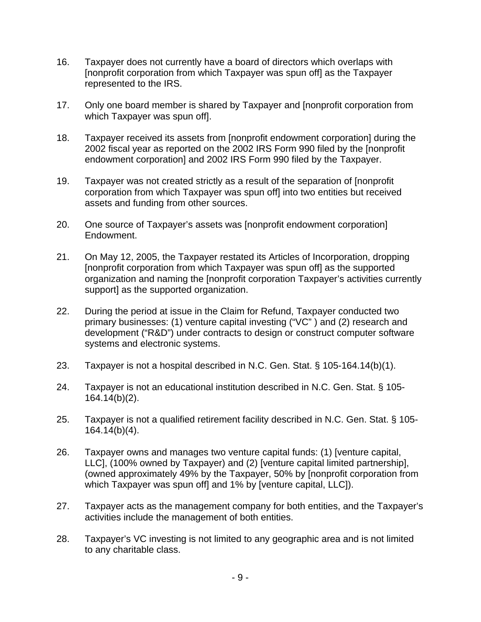- 16. Taxpayer does not currently have a board of directors which overlaps with [nonprofit corporation from which Taxpayer was spun off] as the Taxpayer represented to the IRS.
- 17. Only one board member is shared by Taxpayer and [nonprofit corporation from which Taxpayer was spun off].
- 18. Taxpayer received its assets from [nonprofit endowment corporation] during the 2002 fiscal year as reported on the 2002 IRS Form 990 filed by the [nonprofit endowment corporation] and 2002 IRS Form 990 filed by the Taxpayer.
- 19. Taxpayer was not created strictly as a result of the separation of [nonprofit corporation from which Taxpayer was spun off] into two entities but received assets and funding from other sources.
- 20. One source of Taxpayer's assets was [nonprofit endowment corporation] Endowment.
- 21. On May 12, 2005, the Taxpayer restated its Articles of Incorporation, dropping [nonprofit corporation from which Taxpayer was spun off] as the supported organization and naming the [nonprofit corporation Taxpayer's activities currently support] as the supported organization.
- 22. During the period at issue in the Claim for Refund, Taxpayer conducted two primary businesses: (1) venture capital investing ("VC" ) and (2) research and development ("R&D") under contracts to design or construct computer software systems and electronic systems.
- 23. Taxpayer is not a hospital described in N.C. Gen. Stat. § 105-164.14(b)(1).
- 24. Taxpayer is not an educational institution described in N.C. Gen. Stat. § 105- 164.14(b)(2).
- 25. Taxpayer is not a qualified retirement facility described in N.C. Gen. Stat. § 105- 164.14(b)(4).
- 26. Taxpayer owns and manages two venture capital funds: (1) [venture capital, LLC], (100% owned by Taxpayer) and (2) [venture capital limited partnership], (owned approximately 49% by the Taxpayer, 50% by [nonprofit corporation from which Taxpayer was spun off] and 1% by [venture capital, LLC]).
- 27. Taxpayer acts as the management company for both entities, and the Taxpayer's activities include the management of both entities.
- 28. Taxpayer's VC investing is not limited to any geographic area and is not limited to any charitable class.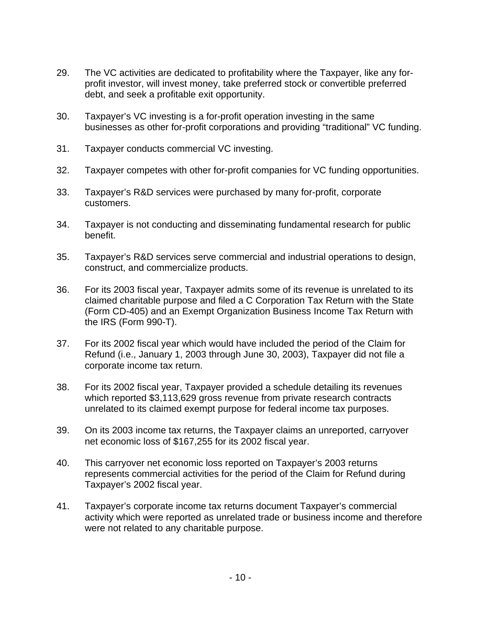- 29. The VC activities are dedicated to profitability where the Taxpayer, like any forprofit investor, will invest money, take preferred stock or convertible preferred debt, and seek a profitable exit opportunity.
- 30. Taxpayer's VC investing is a for-profit operation investing in the same businesses as other for-profit corporations and providing "traditional" VC funding.
- 31. Taxpayer conducts commercial VC investing.
- 32. Taxpayer competes with other for-profit companies for VC funding opportunities.
- 33. Taxpayer's R&D services were purchased by many for-profit, corporate customers.
- 34. Taxpayer is not conducting and disseminating fundamental research for public benefit.
- 35. Taxpayer's R&D services serve commercial and industrial operations to design, construct, and commercialize products.
- 36. For its 2003 fiscal year, Taxpayer admits some of its revenue is unrelated to its claimed charitable purpose and filed a C Corporation Tax Return with the State (Form CD-405) and an Exempt Organization Business Income Tax Return with the IRS (Form 990-T).
- 37. For its 2002 fiscal year which would have included the period of the Claim for Refund (i.e., January 1, 2003 through June 30, 2003), Taxpayer did not file a corporate income tax return.
- 38. For its 2002 fiscal year, Taxpayer provided a schedule detailing its revenues which reported \$3,113,629 gross revenue from private research contracts unrelated to its claimed exempt purpose for federal income tax purposes.
- 39. On its 2003 income tax returns, the Taxpayer claims an unreported, carryover net economic loss of \$167,255 for its 2002 fiscal year.
- 40. This carryover net economic loss reported on Taxpayer's 2003 returns represents commercial activities for the period of the Claim for Refund during Taxpayer's 2002 fiscal year.
- 41. Taxpayer's corporate income tax returns document Taxpayer's commercial activity which were reported as unrelated trade or business income and therefore were not related to any charitable purpose.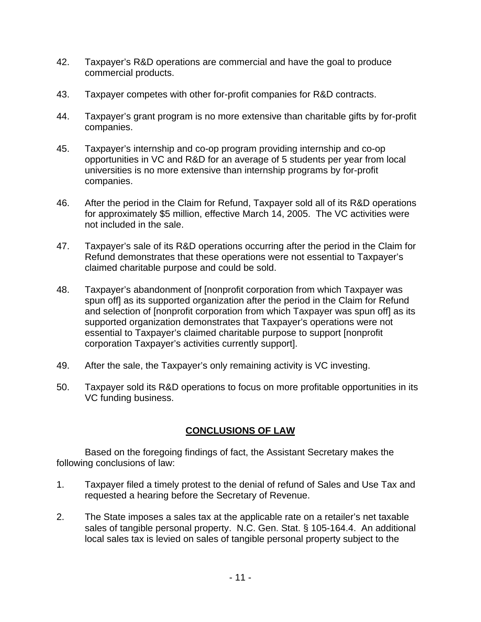- 42. Taxpayer's R&D operations are commercial and have the goal to produce commercial products.
- 43. Taxpayer competes with other for-profit companies for R&D contracts.
- 44. Taxpayer's grant program is no more extensive than charitable gifts by for-profit companies.
- 45. Taxpayer's internship and co-op program providing internship and co-op opportunities in VC and R&D for an average of 5 students per year from local universities is no more extensive than internship programs by for-profit companies.
- 46. After the period in the Claim for Refund, Taxpayer sold all of its R&D operations for approximately \$5 million, effective March 14, 2005. The VC activities were not included in the sale.
- 47. Taxpayer's sale of its R&D operations occurring after the period in the Claim for Refund demonstrates that these operations were not essential to Taxpayer's claimed charitable purpose and could be sold.
- 48. Taxpayer's abandonment of [nonprofit corporation from which Taxpayer was spun off] as its supported organization after the period in the Claim for Refund and selection of [nonprofit corporation from which Taxpayer was spun off] as its supported organization demonstrates that Taxpayer's operations were not essential to Taxpayer's claimed charitable purpose to support [nonprofit corporation Taxpayer's activities currently support].
- 49. After the sale, the Taxpayer's only remaining activity is VC investing.
- 50. Taxpayer sold its R&D operations to focus on more profitable opportunities in its VC funding business.

# **CONCLUSIONS OF LAW**

Based on the foregoing findings of fact, the Assistant Secretary makes the following conclusions of law:

- 1. Taxpayer filed a timely protest to the denial of refund of Sales and Use Tax and requested a hearing before the Secretary of Revenue.
- 2. The State imposes a sales tax at the applicable rate on a retailer's net taxable sales of tangible personal property. N.C. Gen. Stat. § 105-164.4. An additional local sales tax is levied on sales of tangible personal property subject to the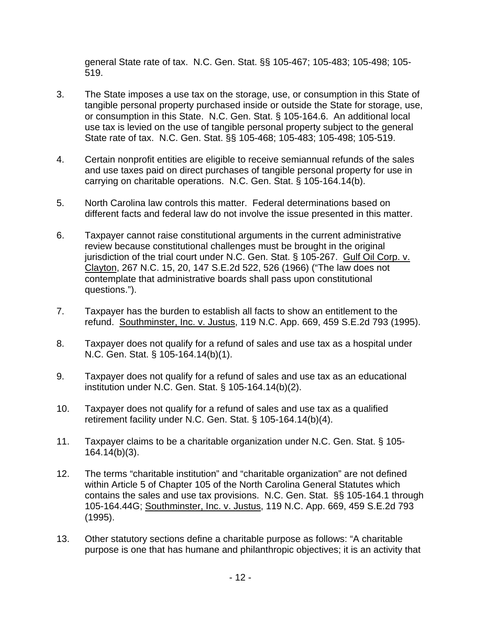general State rate of tax. N.C. Gen. Stat. §§ 105-467; 105-483; 105-498; 105- 519.

- 3. The State imposes a use tax on the storage, use, or consumption in this State of tangible personal property purchased inside or outside the State for storage, use, or consumption in this State. N.C. Gen. Stat. § 105-164.6. An additional local use tax is levied on the use of tangible personal property subject to the general State rate of tax. N.C. Gen. Stat. §§ 105-468; 105-483; 105-498; 105-519.
- 4. Certain nonprofit entities are eligible to receive semiannual refunds of the sales and use taxes paid on direct purchases of tangible personal property for use in carrying on charitable operations. N.C. Gen. Stat. § 105-164.14(b).
- 5. North Carolina law controls this matter. Federal determinations based on different facts and federal law do not involve the issue presented in this matter.
- 6. Taxpayer cannot raise constitutional arguments in the current administrative review because constitutional challenges must be brought in the original jurisdiction of the trial court under N.C. Gen. Stat. § 105-267. Gulf Oil Corp. v. Clayton, 267 N.C. 15, 20, 147 S.E.2d 522, 526 (1966) ("The law does not contemplate that administrative boards shall pass upon constitutional questions.").
- 7. Taxpayer has the burden to establish all facts to show an entitlement to the refund. Southminster, Inc. v. Justus, 119 N.C. App. 669, 459 S.E.2d 793 (1995).
- 8. Taxpayer does not qualify for a refund of sales and use tax as a hospital under N.C. Gen. Stat. § 105-164.14(b)(1).
- 9. Taxpayer does not qualify for a refund of sales and use tax as an educational institution under N.C. Gen. Stat. § 105-164.14(b)(2).
- 10. Taxpayer does not qualify for a refund of sales and use tax as a qualified retirement facility under N.C. Gen. Stat. § 105-164.14(b)(4).
- 11. Taxpayer claims to be a charitable organization under N.C. Gen. Stat. § 105- 164.14(b)(3).
- 12. The terms "charitable institution" and "charitable organization" are not defined within Article 5 of Chapter 105 of the North Carolina General Statutes which contains the sales and use tax provisions. N.C. Gen. Stat. §§ 105-164.1 through 105-164.44G; Southminster, Inc. v. Justus, 119 N.C. App. 669, 459 S.E.2d 793 (1995).
- 13. Other statutory sections define a charitable purpose as follows: "A charitable purpose is one that has humane and philanthropic objectives; it is an activity that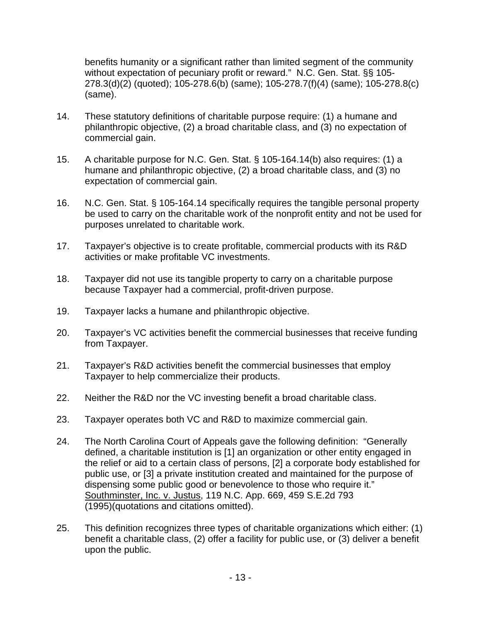benefits humanity or a significant rather than limited segment of the community without expectation of pecuniary profit or reward." N.C. Gen. Stat. §§ 105- 278.3(d)(2) (quoted); 105-278.6(b) (same); 105-278.7(f)(4) (same); 105-278.8(c) (same).

- 14. These statutory definitions of charitable purpose require: (1) a humane and philanthropic objective, (2) a broad charitable class, and (3) no expectation of commercial gain.
- 15. A charitable purpose for N.C. Gen. Stat. § 105-164.14(b) also requires: (1) a humane and philanthropic objective, (2) a broad charitable class, and (3) no expectation of commercial gain.
- 16. N.C. Gen. Stat. § 105-164.14 specifically requires the tangible personal property be used to carry on the charitable work of the nonprofit entity and not be used for purposes unrelated to charitable work.
- 17. Taxpayer's objective is to create profitable, commercial products with its R&D activities or make profitable VC investments.
- 18. Taxpayer did not use its tangible property to carry on a charitable purpose because Taxpayer had a commercial, profit-driven purpose.
- 19. Taxpayer lacks a humane and philanthropic objective.
- 20. Taxpayer's VC activities benefit the commercial businesses that receive funding from Taxpayer.
- 21. Taxpayer's R&D activities benefit the commercial businesses that employ Taxpayer to help commercialize their products.
- 22. Neither the R&D nor the VC investing benefit a broad charitable class.
- 23. Taxpayer operates both VC and R&D to maximize commercial gain.
- 24. The North Carolina Court of Appeals gave the following definition: "Generally defined, a charitable institution is [1] an organization or other entity engaged in the relief or aid to a certain class of persons, [2] a corporate body established for public use, or [3] a private institution created and maintained for the purpose of dispensing some public good or benevolence to those who require it." Southminster, Inc. v. Justus, 119 N.C. App. 669, 459 S.E.2d 793 (1995)(quotations and citations omitted).
- 25. This definition recognizes three types of charitable organizations which either: (1) benefit a charitable class, (2) offer a facility for public use, or (3) deliver a benefit upon the public.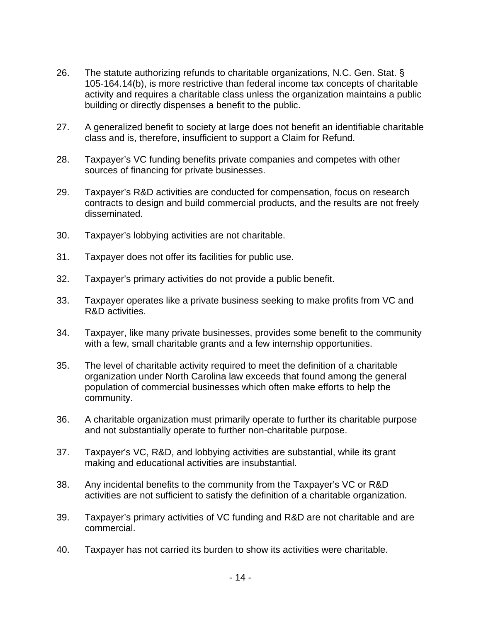- 26. The statute authorizing refunds to charitable organizations, N.C. Gen. Stat. § 105-164.14(b), is more restrictive than federal income tax concepts of charitable activity and requires a charitable class unless the organization maintains a public building or directly dispenses a benefit to the public.
- 27. A generalized benefit to society at large does not benefit an identifiable charitable class and is, therefore, insufficient to support a Claim for Refund.
- 28. Taxpayer's VC funding benefits private companies and competes with other sources of financing for private businesses.
- 29. Taxpayer's R&D activities are conducted for compensation, focus on research contracts to design and build commercial products, and the results are not freely disseminated.
- 30. Taxpayer's lobbying activities are not charitable.
- 31. Taxpayer does not offer its facilities for public use.
- 32. Taxpayer's primary activities do not provide a public benefit.
- 33. Taxpayer operates like a private business seeking to make profits from VC and R&D activities.
- 34. Taxpayer, like many private businesses, provides some benefit to the community with a few, small charitable grants and a few internship opportunities.
- 35. The level of charitable activity required to meet the definition of a charitable organization under North Carolina law exceeds that found among the general population of commercial businesses which often make efforts to help the community.
- 36. A charitable organization must primarily operate to further its charitable purpose and not substantially operate to further non-charitable purpose.
- 37. Taxpayer's VC, R&D, and lobbying activities are substantial, while its grant making and educational activities are insubstantial.
- 38. Any incidental benefits to the community from the Taxpayer's VC or R&D activities are not sufficient to satisfy the definition of a charitable organization.
- 39. Taxpayer's primary activities of VC funding and R&D are not charitable and are commercial.
- 40. Taxpayer has not carried its burden to show its activities were charitable.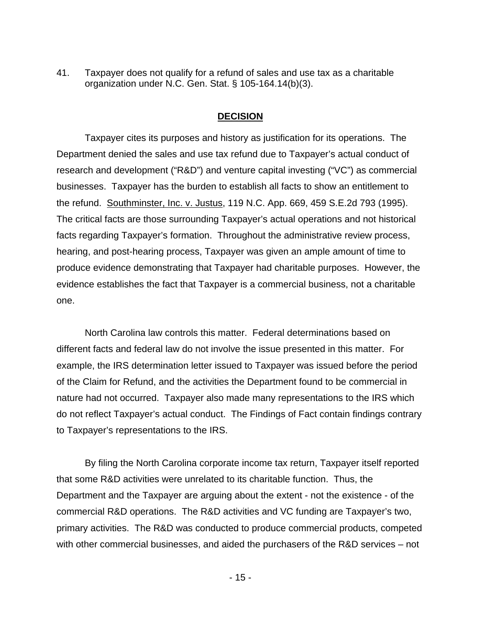41. Taxpayer does not qualify for a refund of sales and use tax as a charitable organization under N.C. Gen. Stat. § 105-164.14(b)(3).

### **DECISION**

Taxpayer cites its purposes and history as justification for its operations. The Department denied the sales and use tax refund due to Taxpayer's actual conduct of research and development ("R&D") and venture capital investing ("VC") as commercial businesses. Taxpayer has the burden to establish all facts to show an entitlement to the refund. Southminster, Inc. v. Justus, 119 N.C. App. 669, 459 S.E.2d 793 (1995). The critical facts are those surrounding Taxpayer's actual operations and not historical facts regarding Taxpayer's formation. Throughout the administrative review process, hearing, and post-hearing process, Taxpayer was given an ample amount of time to produce evidence demonstrating that Taxpayer had charitable purposes. However, the evidence establishes the fact that Taxpayer is a commercial business, not a charitable one.

 North Carolina law controls this matter. Federal determinations based on different facts and federal law do not involve the issue presented in this matter. For example, the IRS determination letter issued to Taxpayer was issued before the period of the Claim for Refund, and the activities the Department found to be commercial in nature had not occurred. Taxpayer also made many representations to the IRS which do not reflect Taxpayer's actual conduct. The Findings of Fact contain findings contrary to Taxpayer's representations to the IRS.

By filing the North Carolina corporate income tax return, Taxpayer itself reported that some R&D activities were unrelated to its charitable function. Thus, the Department and the Taxpayer are arguing about the extent - not the existence - of the commercial R&D operations. The R&D activities and VC funding are Taxpayer's two, primary activities. The R&D was conducted to produce commercial products, competed with other commercial businesses, and aided the purchasers of the R&D services – not